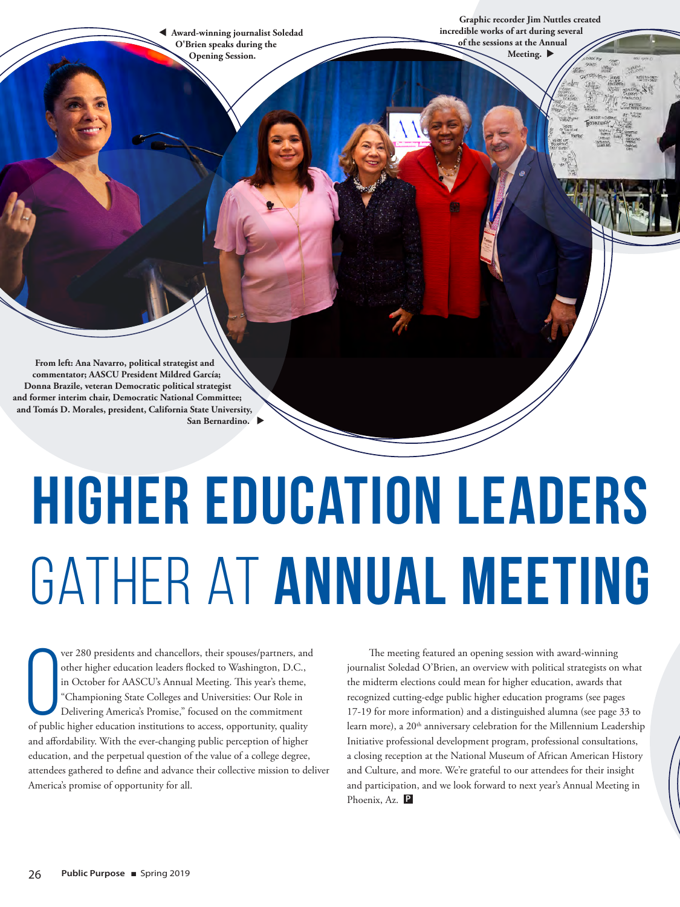**Award-winning journalist Soledad O'Brien speaks during the Opening Session.**

**Graphic recorder Jim Nuttles created incredible works of art during several of the sessions at the Annual** 

**Meeting.** 

**From left: Ana Navarro, political strategist and commentator; AASCU President Mildred García; Donna Brazile, veteran Democratic political strategist and former interim chair, Democratic National Committee; and Tomás D. Morales, president, California State University, San Bernardino.** 

## **Higher Education Leaders**  Gather at **Annual Meeting**

ver 280 presidents and chancellors, their spouses/partners, and other higher education leaders flocked to Washington, D.C., in October for AASCU's Annual Meeting. This year's theme, "Championing State Colleges and Universi ver 280 presidents and chancellors, their spouses/partners, and other higher education leaders flocked to Washington, D.C., in October for AASCU's Annual Meeting. This year's theme, "Championing State Colleges and Universities: Our Role in Delivering America's Promise," focused on the commitment and affordability. With the ever-changing public perception of higher education, and the perpetual question of the value of a college degree, attendees gathered to define and advance their collective mission to deliver America's promise of opportunity for all.

The meeting featured an opening session with award-winning journalist Soledad O'Brien, an overview with political strategists on what the midterm elections could mean for higher education, awards that recognized cutting-edge public higher education programs (see pages 17-19 for more information) and a distinguished alumna (see page 33 to learn more), a 20<sup>th</sup> anniversary celebration for the Millennium Leadership Initiative professional development program, professional consultations, a closing reception at the National Museum of African American History and Culture, and more. We're grateful to our attendees for their insight and participation, and we look forward to next year's Annual Meeting in Phoenix, Az. **P**